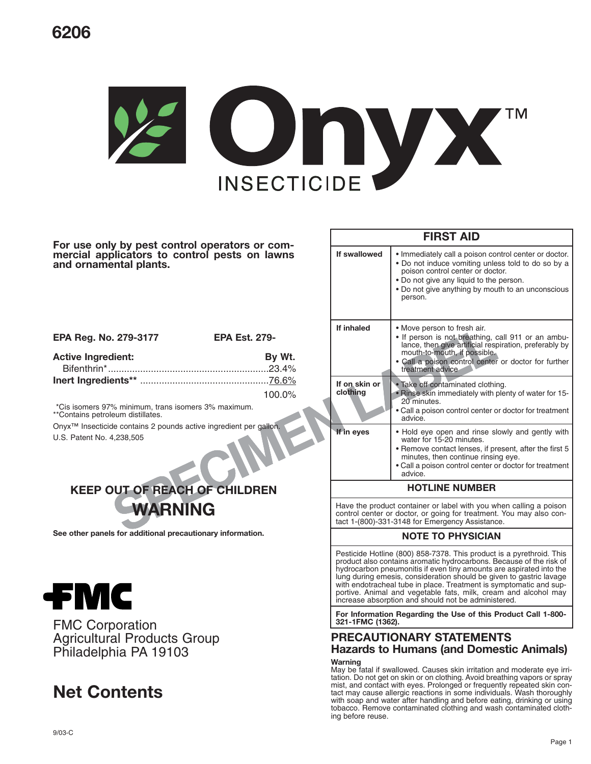# **6206**



**For use only by pest control operators or commercial applicators to control pests on lawns and ornamental plants.**

| EPA Reg. No. 279-3177     | <b>EPA Est. 279-</b> |
|---------------------------|----------------------|
| <b>Active Ingredient:</b> | By Wt.               |
|                           |                      |
|                           |                      |
|                           | $100.0\%$            |

\*Cis isomers 97% minimum, trans isomers 3% maximum. \*\*Contains petroleum distillates.

Onyx™ Insecticide contains 2 pounds active ingredient per gallon.

U.S. Patent No. 4,238,505



**See other panels for additional precautionary information.**



FMC Corporation Agricultural Products Group Philadelphia PA 19103

# **Net Contents**

| <b>FIRST AID</b>                                                                                                                                                                                                                                                                                                                                                                                                                                                                          |                                                                                                                                                                                                                                                            |  |
|-------------------------------------------------------------------------------------------------------------------------------------------------------------------------------------------------------------------------------------------------------------------------------------------------------------------------------------------------------------------------------------------------------------------------------------------------------------------------------------------|------------------------------------------------------------------------------------------------------------------------------------------------------------------------------------------------------------------------------------------------------------|--|
| If swallowed                                                                                                                                                                                                                                                                                                                                                                                                                                                                              | . Immediately call a poison control center or doctor.<br>• Do not induce vomiting unless told to do so by a<br>poison control center or doctor.<br>. Do not give any liquid to the person.<br>• Do not give anything by mouth to an unconscious<br>person. |  |
| If inhaled                                                                                                                                                                                                                                                                                                                                                                                                                                                                                | • Move person to fresh air.<br>• If person is not breathing, call 911 or an ambu-<br>lance, then give artificial respiration, preferably by<br>mouth-to-mouth, if possible.<br>• Call a poison control center or doctor for further<br>treatment advice    |  |
| If on skin or<br>clothing                                                                                                                                                                                                                                                                                                                                                                                                                                                                 | • Take off contaminated clothing.<br>• Rinse skin immediately with plenty of water for 15-<br>20 minutes.<br>• Call a poison control center or doctor for treatment<br>advice.                                                                             |  |
| If in eyes                                                                                                                                                                                                                                                                                                                                                                                                                                                                                | . Hold eye open and rinse slowly and gently with<br>water for 15-20 minutes.<br>• Remove contact lenses, if present, after the first 5<br>minutes, then continue rinsing eye.<br>• Call a poison control center or doctor for treatment<br>advice.         |  |
|                                                                                                                                                                                                                                                                                                                                                                                                                                                                                           | <b>HOTLINE NUMBER</b>                                                                                                                                                                                                                                      |  |
| Have the product container or label with you when calling a poison<br>control center or doctor, or going for treatment. You may also con-<br>tact 1-(800)-331-3148 for Emergency Assistance.                                                                                                                                                                                                                                                                                              |                                                                                                                                                                                                                                                            |  |
|                                                                                                                                                                                                                                                                                                                                                                                                                                                                                           | <b>NOTE TO PHYSICIAN</b>                                                                                                                                                                                                                                   |  |
| Pesticide Hotline (800) 858-7378. This product is a pyrethroid. This<br>product also contains aromatic hydrocarbons. Because of the risk of<br>hydrocarbon pneumonitis if even tiny amounts are aspirated into the<br>lung during emesis, consideration should be given to gastric lavage<br>with endotracheal tube in place. Treatment is symptomatic and sup-<br>portive. Animal and vegetable fats, milk, cream and alcohol may<br>increase absorption and should not be administered. |                                                                                                                                                                                                                                                            |  |
| For Information Regarding the Use of this Product Call 1-800-<br>321-1FMC (1362).                                                                                                                                                                                                                                                                                                                                                                                                         |                                                                                                                                                                                                                                                            |  |
| <b>PRECAUTIONARY STATEMENTS</b><br><b>Hazards to Humans (and Domestic Animals)</b>                                                                                                                                                                                                                                                                                                                                                                                                        |                                                                                                                                                                                                                                                            |  |
| Warning<br>May be fatal if swallowed. Causes skin irritation and moderate eye irri-<br>tation. Do not get on skin or on clothing. Avoid breathing vapors or spray                                                                                                                                                                                                                                                                                                                         |                                                                                                                                                                                                                                                            |  |

mist, and contact with eyes. Prolonged or frequently repeated skin contact may cause allergic reactions in some individuals. Wash thoroughly with soap and water after handling and before eating, drinking or using tobacco. Remove contaminated clothing and wash contaminated cloth-

ing before reuse.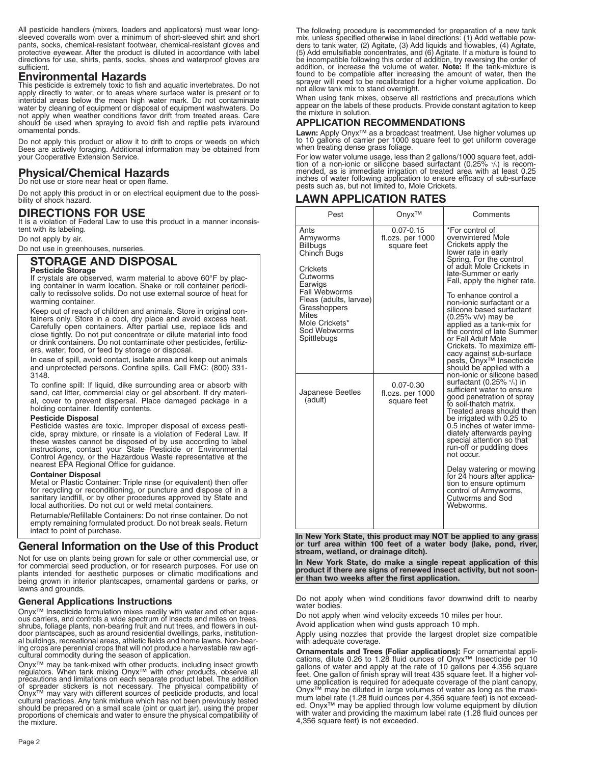All pesticide handlers (mixers, loaders and applicators) must wear longsleeved coveralls worn over a minimum of short-sleeved shirt and short pants, socks, chemical-resistant footwear, chemical-resistant gloves and protective eyewear. After the product is diluted in accordance with label directions for use, shirts, pants, socks, shoes and waterproof gloves are sufficient.

#### **Environmental Hazards**

This pesticide is extremely toxic to fish and aquatic invertebrates. Do not apply directly to water, or to areas where surface water is present or to intertidal areas below the mean high water mark. Do not contaminate water by cleaning of equipment or disposal of equipment washwaters. Do not apply when weather conditions favor drift from treated areas. Care should be used when spraying to avoid fish and reptile pets in/around ornamental ponds.

Do not apply this product or allow it to drift to crops or weeds on which Bees are actively foraging. Additional information may be obtained from your Cooperative Extension Service.

## **Physical/Chemical Hazards**

Do not use or store near heat or open flame.

Do not apply this product in or on electrical equipment due to the possibility of shock hazard.

## **DIRECTIONS FOR USE**

It is a violation of Federal Law to use this product in a manner inconsistent with its labeling.

Do not apply by air.

Do not use in greenhouses, nurseries.

## **STORAGE AND DISPOSAL**

#### **Pesticide Storage**

If crystals are observed, warm material to above 60°F by placing container in warm location. Shake or roll container periodically to redissolve solids. Do not use external source of heat for warming container.

Keep out of reach of children and animals. Store in original containers only. Store in a cool, dry place and avoid excess heat. Carefully open containers. After partial use, replace lids and close tightly. Do not put concentrate or dilute material into food or drink containers. Do not contaminate other pesticides, fertilizers, water, food, or feed by storage or disposal.

In case of spill, avoid contact, isolate area and keep out animals and unprotected persons. Confine spills. Call FMC: (800) 331- 3148.

To confine spill: If liquid, dike surrounding area or absorb with sand, cat litter, commercial clay or gel absorbent. If dry material, cover to prevent dispersal. Place damaged package in a holding container. Identify contents.

#### **Pesticide Disposal**

Pesticide wastes are toxic. Improper disposal of excess pesticide, spray mixture, or rinsate is a violation of Federal Law. If these wastes cannot be disposed of by use according to label instructions, contact your State Pesticide or Environmental Control Agency, or the Hazardous Waste representative at the nearest EPA Regional Office for guidance.

#### **Container Disposal**

Metal or Plastic Container: Triple rinse (or equivalent) then offer for recycling or reconditioning, or puncture and dispose of in a sanitary landfill, or by other procedures approved by State and local authorities. Do not cut or weld metal containers.

Returnable/Refillable Containers: Do not rinse container. Do not empty remaining formulated product. Do not break seals. Return intact to point of purchase.

### **General Information on the Use of this Product**

Not for use on plants being grown for sale or other commercial use, or for commercial seed production, or for research purposes. For use on plants intended for aesthetic purposes or climatic modifications and being grown in interior plantscapes, ornamental gardens or parks, or lawns and grounds.

#### **General Applications Instructions**

Onyx™ Insecticide formulation mixes readily with water and other aque-ous carriers, and controls a wide spectrum of insects and mites on trees, shrubs, foliage plants, non-bearing fruit and nut trees, and flowers in outdoor plantscapes, such as around residential dwellings, parks, institution-al buildings, recreational areas, athletic fields and home lawns. Non-bearing crops are perennial crops that will not produce a harvestable raw agri-cultural commodity during the season of application.

Onyx™ may be tank-mixed with other products, including insect growth regulators. When tank mixing Onyx™ with other products, observe all precautions and limitations on each separate product label. The addition<br>of spreader stickers is not necessary. The physical compatibility of<br>Onyx™ may vary with different sources of pesticide products, and local<br>cultural should be prepared on a small scale (pint or quart jar), using the proper proportions of chemicals and water to ensure the physical compatibility of the mixture.

The following procedure is recommended for preparation of a new tank mix, unless specified otherwise in label directions: (1) Add wettable pow-<br>ders to tank water, (2) Agitate, (3) Add liquids and flowables, (4) Agitate,<br>(5) Add emulsifiable concentrates, and (6) Agitate. If a mixture is f not allow tank mix to stand overnight.

When using tank mixes, observe all restrictions and precautions which appear on the labels of these products. Provide constant agitation to keep the mixture in solution.

# **APPLICATION RECOMMENDATIONS**<br>Lawn: Apply Onyx™ as a broadcast treatment. Use higher volumes up

Lawn: Apply Only a broadcast treatment. Use the Uniform coverage to 10 gallons of carrier per 1000 square feet to get uniform coverage when treating dense grass foliage.

For low water volume usage, less than 2 gallons/1000 square feet, addition of a non-ionic or silicone based surfactant (0.25%  $\%$ ) is recommended, as is immediate irrigation of treated area with at least 0.25 inches of water following application to ensure efficacy of sub-surface pests such as, but not limited to, Mole Crickets.

## **LAWN APPLICATION RATES**

| Pest                                                                                                                                                                                                                      | Onyx™                                            | Comments                                                                                                                                                                                                                                                                                                                                                                                                                                                                                                                  |  |
|---------------------------------------------------------------------------------------------------------------------------------------------------------------------------------------------------------------------------|--------------------------------------------------|---------------------------------------------------------------------------------------------------------------------------------------------------------------------------------------------------------------------------------------------------------------------------------------------------------------------------------------------------------------------------------------------------------------------------------------------------------------------------------------------------------------------------|--|
| Ants<br>Armyworms<br><b>Billbugs</b><br>Chinch Bugs<br>Crickets<br>Cutworms<br>Earwigs<br><b>Fall Webworms</b><br>Fleas (adults, larvae)<br>Grasshoppers<br><b>Mites</b><br>Mole Crickets*<br>Sod Webworms<br>Spittlebugs | $0.07 - 0.15$<br>fl.ozs. per 1000<br>square feet | *For control of<br>overwintered Mole<br>Crickets apply the<br>lower rate in early<br>Spring. For the control<br>of adult Mole Crickets in<br>late-Summer or early<br>Fall, apply the higher rate.<br>To enhance control a<br>non-ionic surfactant or a<br>silicone based surfactant<br>(0.25% v/v) may be<br>applied as a tank-mix for<br>the control of late Summer<br>or Fall Adult Mole<br>Crickets. To maximize effi-<br>cacy against sub-surface<br>pests, Onyx <sup>™</sup> Insecticide<br>should be applied with a |  |
| Japanese Beetles<br>(adult)                                                                                                                                                                                               | $0.07 - 0.30$<br>fl.ozs. per 1000<br>square feet | non-ionic or silicone based<br>surfactant (0.25% $\%$ ) in<br>sufficient water to ensure<br>good penetration of spray<br>to soil-thatch matrix.<br>Treated areas should then<br>be irrigated with 0.25 to<br>0.5 inches of water imme-<br>diately afterwards paying<br>special attention so that<br>run-off or puddling does<br>not occur.<br>Delay watering or mowing<br>for 24 hours after applica-<br>tion to ensure optimum<br>control of Armyworms,<br>Cutworms and Sod<br>Webworms.                                 |  |

**In New York State, this product may NOT be applied to any grass or turf area within 100 feet of a water body (lake, pond, river, stream, wetland, or drainage ditch).**

**In New York State, do make a single repeat application of this product if there are signs of renewed insect activity, but not sooner than two weeks after the first application.**

Do not apply when wind conditions favor downwind drift to nearby water bodies.

Do not apply when wind velocity exceeds 10 miles per hour.

Avoid application when wind gusts approach 10 mph.

Apply using nozzles that provide the largest droplet size compatible with adequate coverage.

**Ornamentals and Trees (Foliar applications):** For ornamental applications, dilute 0.26 to 1.28 fluid ounces of Onyx™ Insecticide per 10 gallons of water and apply at the rate of 10 gallons per 4,356 square feet. One gallon of finish spray will treat 435 square feet. If a higher volume application is required for adequate coverage of the plant canopy, Onyx™ may be diluted in large volumes of water as long as the maximum label rate (1.28 fluid ounces per 4,356 square feet) is not exceeded. Onyx™ may be applied through low volume equipment by dilution with water and providing the maximum label rate (1.28 fluid ounces per 4,356 square feet) is not exceeded.